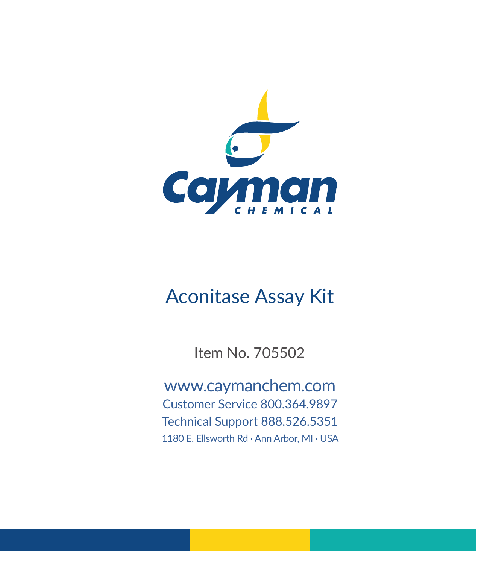

# Aconitase Assay Kit

Item No. 705502

www.caymanchem.com Customer Service 800.364.9897 Technical Support 888.526.5351 1180 E. Ellsworth Rd · Ann Arbor, MI · USA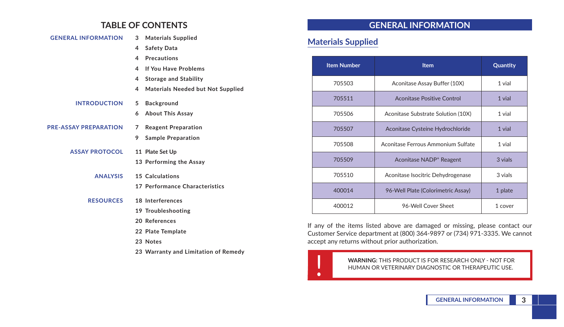## **TABLE OF CONTENTS**

| <b>GENERAL INFORMATION</b>   | 3           | <b>Materials Supplied</b>                |
|------------------------------|-------------|------------------------------------------|
|                              | 4           | <b>Safety Data</b>                       |
|                              | 4           | <b>Precautions</b>                       |
|                              | 4           | If You Have Problems                     |
|                              | 4           | <b>Storage and Stability</b>             |
|                              | 4           | <b>Materials Needed but Not Supplied</b> |
| <b>INTRODUCTION</b>          | 5           | <b>Background</b>                        |
|                              | 6           | <b>About This Assay</b>                  |
| <b>PRE-ASSAY PREPARATION</b> | $7^{\circ}$ | <b>Reagent Preparation</b>               |
|                              | 9           | <b>Sample Preparation</b>                |
| <b>ASSAY PROTOCOL</b>        |             | 11 Plate Set Up                          |
|                              |             | 13 Performing the Assay                  |
| <b>ANALYSIS</b>              |             | 15 Calculations                          |
|                              |             | 17 Performance Characteristics           |
| <b>RESOURCES</b>             |             | 18 Interferences                         |
|                              |             | 19 Troubleshooting                       |
|                              |             | 20 References                            |
|                              |             | 22 Plate Template                        |
|                              |             | 23 Notes                                 |
|                              |             | 23 Warranty and Limitation of Remedy     |

## **GENERAL INFORMATION**

## **Materials Supplied**

| <b>Item Number</b> | <b>Item</b>                         | Quantity |
|--------------------|-------------------------------------|----------|
| 705503             | Aconitase Assay Buffer (10X)        | 1 vial   |
| 705511             | Aconitase Positive Control          | 1 vial   |
| 705506             | Aconitase Substrate Solution (10X)  | 1 vial   |
| 705507             | Aconitase Cysteine Hydrochloride    | 1 vial   |
| 705508             | Aconitase Ferrous Ammonium Sulfate  | 1 vial   |
| 705509             | Aconitase NADP <sup>+</sup> Reagent | 3 vials  |
| 705510             | Aconitase Isocitric Dehydrogenase   | 3 vials  |
| 400014             | 96-Well Plate (Colorimetric Assay)  | 1 plate  |
| 400012             | 96-Well Cover Sheet                 | 1 cover  |

If any of the items listed above are damaged or missing, please contact our Customer Service department at (800) 364-9897 or (734) 971-3335. We cannot accept any returns without prior authorization.

WARNING: THIS PRODUCT IS FOR RESEARCH ONLY - NOT FOR HUMAN OR VETERINARY DIAGNOSTIC OR THERAPEUTIC USE. HUMAN OR VETERINARY DIAGNOSTIC OR THERAPEUTIC USE.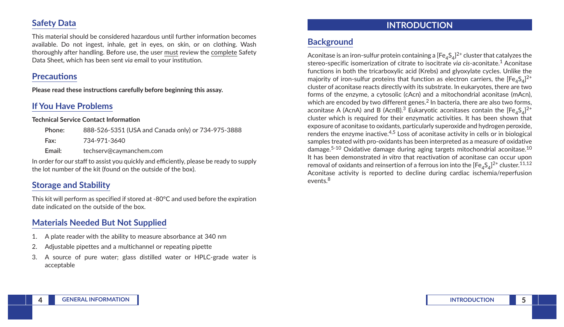## **Safety Data**

This material should be considered hazardous until further information becomes available. Do not ingest, inhale, get in eyes, on skin, or on clothing. Wash thoroughly after handling. Before use, the user must review the complete Safety Data Sheet, which has been sent *via* email to your institution.

## **Precautions**

**Please read these instructions carefully before beginning this assay.**

# **If You Have Problems**

#### **Technical Service Contact Information**

| Phone: | 888-526-5351 (USA and Canada only) or 734-975-3888 |
|--------|----------------------------------------------------|
| Fax:   | 734-971-3640                                       |
| Email: | techserv@caymanchem.com                            |

In order for our staff to assist you quickly and efficiently, please be ready to supply the lot number of the kit (found on the outside of the box).

## **Storage and Stability**

This kit will perform as specified if stored at -80°C and used before the expiration date indicated on the outside of the box.

## **Materials Needed But Not Supplied**

- 1. A plate reader with the ability to measure absorbance at 340 nm
- 2. Adjustable pipettes and a multichannel or repeating pipette
- 3. A source of pure water; glass distilled water or HPLC-grade water is acceptable

## **INTRODUCTION**

# **Background**

Aconitase is an iron-sulfur protein containing a [Fe $_{4}$ S $_{4}]^{2+}$  cluster that catalyzes the stereo-specific isomerization of citrate to isocitrate *via cis*-aconitate.1 Aconitase functions in both the tricarboxylic acid (Krebs) and glyoxylate cycles. Unlike the majority of iron-sulfur proteins that function as electron carriers, the  $[{\sf Fe}_4{\sf S}_4]^{2+}$ cluster of aconitase reacts directly with its substrate. In eukaryotes, there are two forms of the enzyme, a cytosolic (cAcn) and a mitochondrial aconitase (mAcn), which are encoded by two different genes.<sup>2</sup> In bacteria, there are also two forms, aconitase A (AcnA) and B (AcnB). $^3$  Eukaryotic aconitases contain the [Fe $_4\mathrm{S}_4$ ] $^{2+}$ cluster which is required for their enzymatic activities. It has been shown that exposure of aconitase to oxidants, particularly superoxide and hydrogen peroxide, renders the enzyme inactive. $4,5$  Loss of aconitase activity in cells or in biological samples treated with pro-oxidants has been interpreted as a measure of oxidative damage.5-10 Oxidative damage during aging targets mitochondrial aconitase.10 It has been demonstrated *in vitro* that reactivation of aconitase can occur upon removal of oxidants and reinsertion of a ferrous ion into the [Fe $_4$ S $_4$ ] $^{2+}$  cluster. $^{11,12}$ Aconitase activity is reported to decline during cardiac ischemia/reperfusion events.<sup>8</sup>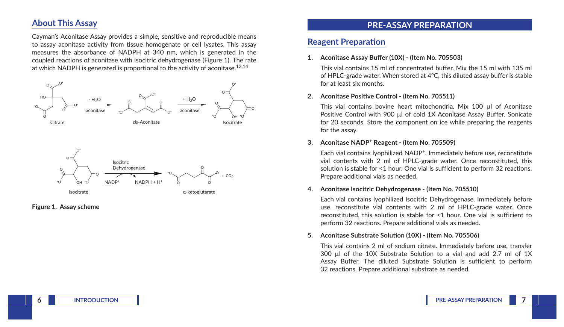## **About This Assay**

Cayman's Aconitase Assay provides a simple, sensitive and reproducible means to assay aconitase activity from tissue homogenate or cell lysates. This assay measures the absorbance of NADPH at 340 nm, which is generated in the coupled reactions of aconitase with isocitric dehydrogenase (Figure 1). The rate at which NADPH is generated is proportional to the activity of aconitase.<sup>13,14</sup>



#### **Figure 1. Assay scheme**

## **PRE-ASSAY PREPARATION**

### **Reagent Preparation**

#### **1. Aconitase Assay Buffer (10X) - (Item No. 705503)**

This vial contains 15 ml of concentrated buffer. Mix the 15 ml with 135 ml of HPLC-grade water. When stored at 4°C, this diluted assay buffer is stable for at least six months.

#### **2. Aconitase Positive Control - (Item No. 705511)**

This vial contains bovine heart mitochondria. Mix 100 µl of Aconitase Positive Control with 900 µl of cold 1X Aconitase Assay Buffer. Sonicate for 20 seconds. Store the component on ice while preparing the reagents for the assay.

#### **3. Aconitase NADP+ Reagent - (Item No. 705509)**

Each vial contains lyophilized NADP+. Immediately before use, reconstitute vial contents with 2 ml of HPLC-grade water. Once reconstituted, this solution is stable for <1 hour. One vial is sufficient to perform 32 reactions. Prepare additional vials as needed.

#### **4. Aconitase Isocitric Dehydrogenase - (Item No. 705510)**

Each vial contains lyophilized Isocitric Dehydrogenase. Immediately before use, reconstitute vial contents with 2 ml of HPLC-grade water. Once reconstituted, this solution is stable for <1 hour. One vial is sufficient to perform 32 reactions. Prepare additional vials as needed.

#### **5. Aconitase Substrate Solution (10X) - (Item No. 705506)**

This vial contains 2 ml of sodium citrate. Immediately before use, transfer 300 µl of the 10X Substrate Solution to a vial and add 2.7 ml of 1X Assay Buffer. The diluted Substrate Solution is sufficient to perform 32 reactions. Prepare additional substrate as needed.

**6 INTRODUCTION PRE-ASSAY PREPARATION 7**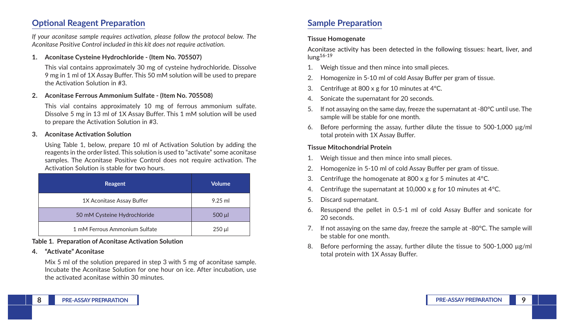## **Optional Reagent Preparation**

*If your aconitase sample requires activation, please follow the protocol below. The Aconitase Positive Control included in this kit does not require activation.* 

**1. Aconitase Cysteine Hydrochloride - (Item No. 705507)**

This vial contains approximately 30 mg of cysteine hydrochloride. Dissolve 9 mg in 1 ml of 1X Assay Buffer. This 50 mM solution will be used to prepare the Activation Solution in #3.

#### **2. Aconitase Ferrous Ammonium Sulfate - (Item No. 705508)**

This vial contains approximately 10 mg of ferrous ammonium sulfate. Dissolve 5 mg in 13 ml of 1X Assay Buffer. This 1 mM solution will be used to prepare the Activation Solution in #3.

#### **3. Aconitase Activation Solution**

Using Table 1, below, prepare 10 ml of Activation Solution by adding the reagents in the order listed. This solution is used to "activate" some aconitase samples. The Aconitase Positive Control does not require activation. The Activation Solution is stable for two hours.

| Reagent                       | <b>Volume</b> |
|-------------------------------|---------------|
| 1X Aconitase Assay Buffer     | $9.25$ ml     |
| 50 mM Cysteine Hydrochloride  | $500$ $\mu$   |
| 1 mM Ferrous Ammonium Sulfate | $250 \mu$     |

#### **Table 1. Preparation of Aconitase Activation Solution**

#### **4. "Activate" Aconitase**

Mix 5 ml of the solution prepared in step 3 with 5 mg of aconitase sample. Incubate the Aconitase Solution for one hour on ice. After incubation, use the activated aconitase within 30 minutes.

## **Sample Preparation**

#### **Tissue Homogenate**

Aconitase activity has been detected in the following tissues: heart, liver, and lung16-19

- 1. Weigh tissue and then mince into small pieces.
- 2. Homogenize in 5-10 ml of cold Assay Buffer per gram of tissue.
- 3. Centrifuge at 800 x g for 10 minutes at 4°C.
- 4. Sonicate the supernatant for 20 seconds.
- 5. If not assaying on the same day, freeze the supernatant at -80°C until use. The sample will be stable for one month.
- 6. Before performing the assay, further dilute the tissue to 500-1,000 µg/ml total protein with 1X Assay Buffer.

#### **Tissue Mitochondrial Protein**

- 1. Weigh tissue and then mince into small pieces.
- 2. Homogenize in 5-10 ml of cold Assay Buffer per gram of tissue.
- 3. Centrifuge the homogenate at 800 x g for 5 minutes at  $4^{\circ}$ C.
- 4. Centrifuge the supernatant at 10,000 x g for 10 minutes at 4°C.
- 5. Discard supernatant.
- 6. Resuspend the pellet in 0.5-1 ml of cold Assay Buffer and sonicate for 20 seconds.
- 7. If not assaying on the same day, freeze the sample at -80°C. The sample will be stable for one month.
- 8. Before performing the assay, further dilute the tissue to 500-1,000  $\mu$ g/ml total protein with 1X Assay Buffer.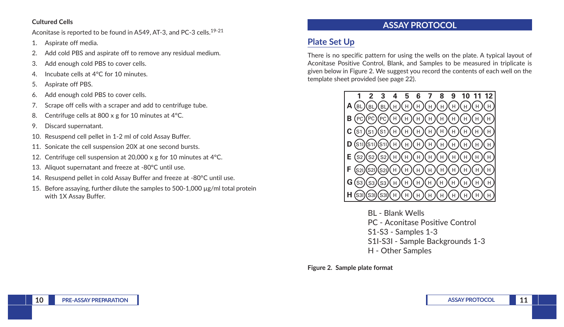#### **Cultured Cells**

Aconitase is reported to be found in A549, AT-3, and PC-3 cells.<sup>19-21</sup>

- 1. Aspirate off media.
- 2. Add cold PBS and aspirate off to remove any residual medium.
- 3. Add enough cold PBS to cover cells.
- 4. Incubate cells at 4°C for 10 minutes.
- 5. Aspirate off PBS.
- 6. Add enough cold PBS to cover cells.
- 7. Scrape off cells with a scraper and add to centrifuge tube.
- 8. Centrifuge cells at 800 x g for 10 minutes at 4°C.
- 9. Discard supernatant.
- 10. Resuspend cell pellet in 1-2 ml of cold Assay Buffer.
- 11. Sonicate the cell suspension 20X at one second bursts.
- 12. Centrifuge cell suspension at 20,000 x g for 10 minutes at 4°C.
- 13. Aliquot supernatant and freeze at -80°C until use.
- 14. Resuspend pellet in cold Assay Buffer and freeze at -80°C until use.
- 15. Before assaying, further dilute the samples to 500-1,000  $\mu$ g/ml total protein with 1X Assay Buffer.

# **ASSAY PROTOCOL**

# **Plate Set Up**

There is no specific pattern for using the wells on the plate. A typical layout of Aconitase Positive Control, Blank, and Samples to be measured in triplicate is given below in Figure 2. We suggest you record the contents of each well on the template sheet provided (see page 22).



BL - Blank Wells PC - Aconitase Positive Control S1-S3 - Samples 1-3 S1I-S3I - Sample Backgrounds 1-3 H - Other Samples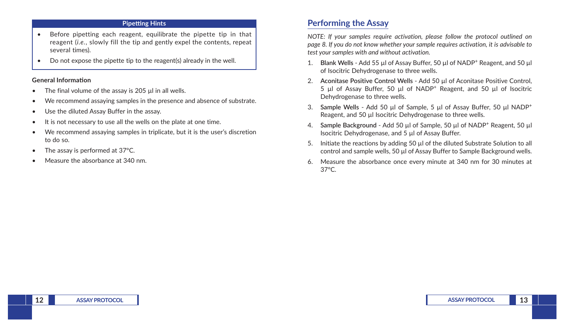#### **Pipetting Hints**

- Before pipetting each reagent, equilibrate the pipette tip in that reagent (*i.e.*, slowly fill the tip and gently expel the contents, repeat several times).
- Do not expose the pipette tip to the reagent(s) already in the well.

#### **General Information**

- The final volume of the assay is 205 ul in all wells.
- We recommend assaying samples in the presence and absence of substrate.
- Use the diluted Assay Buffer in the assay.
- It is not necessary to use all the wells on the plate at one time.
- We recommend assaying samples in triplicate, but it is the user's discretion to do so.
- The assay is performed at 37°C.
- Measure the absorbance at 340 nm.

## **Performing the Assay**

*NOTE: If your samples require activation, please follow the protocol outlined on page 8. If you do not know whether your sample requires activation, it is advisable to test your samples with and without activation.*

- 1. **Blank Wells** Add 55 µl of Assay Buffer, 50 µl of NADP<sup>+</sup> Reagent, and 50 µl of Isocitric Dehydrogenase to three wells.
- 2. **Aconitase Positive Control Wells** Add 50 µl of Aconitase Positive Control, 5 µl of Assay Buffer, 50 µl of NADP+ Reagent, and 50 µl of Isocitric Dehydrogenase to three wells.
- 3. **Sample Wells** Add 50 µl of Sample, 5 µl of Assay Buffer, 50 µl NADP<sup>+</sup> Reagent, and 50 µl Isocitric Dehydrogenase to three wells.
- 4. **Sample Background** Add 50 µl of Sample, 50 µl of NADP+ Reagent, 50 µl Isocitric Dehydrogenase, and 5 µl of Assay Buffer.
- 5. Initiate the reactions by adding 50 µl of the diluted Substrate Solution to all control and sample wells, 50 µl of Assay Buffer to Sample Background wells.
- 6. Measure the absorbance once every minute at 340 nm for 30 minutes at 37°C.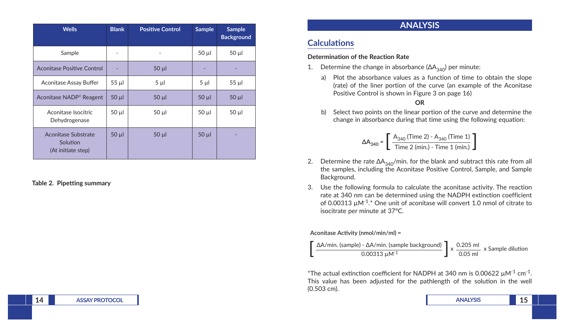| <b>Wells</b>                                                 | <b>Blank</b> | <b>Positive Control</b> | <b>Sample</b> | <b>Sample</b><br><b>Background</b> |
|--------------------------------------------------------------|--------------|-------------------------|---------------|------------------------------------|
| Sample                                                       | -            | $\overline{a}$          | $50 \mu$      | $50 \mu$                           |
| Aconitase Positive Control                                   |              | $50$ $\mu$              |               |                                    |
| Aconitase Assay Buffer                                       | $55 \mu$     | $5 \mu$                 | $5 \mu$       | $55 \mu$                           |
| Aconitase NADP <sup>+</sup> Reagent                          | $50$ $\mu$   | $50$ $\mu$              | $50 \mu$      | $50 \mu$                           |
| Aconitase Isocitric<br>Dehydrogenase                         | $50 \mu$     | $50 \mu$                | $50 \mu$      | $50 \mu$                           |
| <b>Aconitase Substrate</b><br>Solution<br>(At initiate step) | $50 \mu$     | $50 \mu$                | $50 \mu$      |                                    |

#### **Table 2. Pipetting summary**

### **ANALYSIS**

### **Calculations**

#### **Determination of the Reaction Rate**

- 1. Determine the change in absorbance  $(ΔA<sub>340</sub>)$  per minute:
	- a) Plot the absorbance values as a function of time to obtain the slope (rate) of the liner portion of the curve (an example of the Aconitase Positive Control is shown in Figure 3 on page 16)

#### **OR**

b) Select two points on the linear portion of the curve and determine the change in absorbance during that time using the following equation:

$$
\Delta A_{340} = \left[ \frac{A_{340} \text{ (Time 2)} - A_{340} \text{ (Time 1)}}{\text{Time 2 (min.)} - \text{Time 1 (min.)}} \right]
$$

- 2. Determine the rate  $\Delta A_{340}$ /min. for the blank and subtract this rate from all the samples, including the Aconitase Positive Control, Sample, and Sample Background.
- 3. Use the following formula to calculate the aconitase activity. The reaction rate at 340 nm can be determined using the NADPH extinction coefficient of 0.00313  $\mu$ M<sup>-1</sup>.\* One unit of aconitase will convert 1.0 nmol of citrate to isocitrate per minute at 37°C.

#### Aconitase Activity (nmol/min/ml) =



\*The actual extinction coefficient for NADPH at 340 nm is 0.00622  $\mu$ M<sup>-1</sup> cm<sup>-1</sup>. This value has been adjusted for the pathlength of the solution in the well (0.503 cm).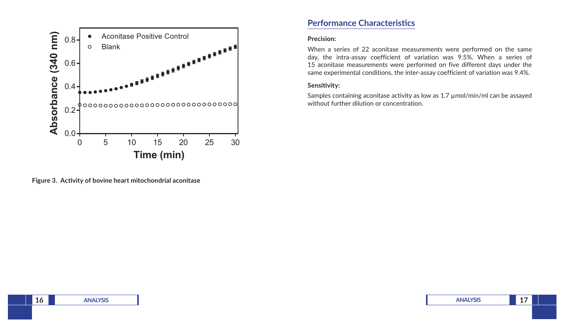

**Figure 3. Activity of bovine heart mitochondrial aconitase**

### **Performance Characteristics**

#### **Precision:**

When a series of 22 aconitase measurements were performed on the same day, the intra-assay coefficient of variation was 9.5%. When a series of 15 aconitase measurements were performed on five different days under the same experimental conditions, the inter-assay coefficient of variation was 9.4%.

#### **Sensitivity:**

Samples containing aconitase activity as low as 1.7 µmol/min/ml can be assayed without further dilution or concentration.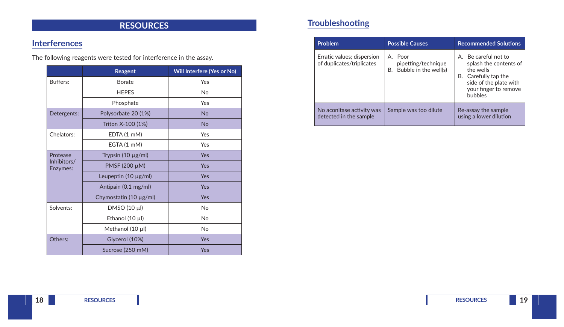# **RESOURCES**

# **Interferences**

The following reagents were tested for interference in the assay.

|                         | Reagent                   | Will Interfere (Yes or No) |
|-------------------------|---------------------------|----------------------------|
| Buffers:                | <b>Borate</b>             | Yes                        |
|                         | <b>HEPES</b>              | No                         |
|                         | Phosphate                 | Yes                        |
| Detergents:             | Polysorbate 20 (1%)       | <b>No</b>                  |
|                         | Triton X-100 (1%)         | <b>No</b>                  |
| Chelators:              | EDTA (1 mM)               | Yes                        |
|                         | EGTA (1 mM)               | Yes                        |
| Protease                | Trypsin $(10 \mu g/ml)$   | Yes                        |
| Inhibitors/<br>Enzymes: | PMSF (200 µM)             | Yes                        |
|                         | Leupeptin $(10 \mu g/ml)$ | Yes                        |
|                         | Antipain (0.1 mg/ml)      | Yes                        |
|                         | Chymostatin (10 µg/ml)    | Yes                        |
| Solvents:               | DMSO (10 µl)              | No                         |
|                         | Ethanol (10 µl)           | <b>No</b>                  |
|                         | Methanol $(10 \mu l)$     | No                         |
| Others:                 | Glycerol (10%)            | Yes                        |
|                         | Sucrose (250 mM)          | Yes                        |

# **Troubleshooting**

| Problem                                                 | <b>Possible Causes</b>                                        | <b>Recommended Solutions</b>                                                                                                                             |
|---------------------------------------------------------|---------------------------------------------------------------|----------------------------------------------------------------------------------------------------------------------------------------------------------|
| Erratic values; dispersion<br>of duplicates/triplicates | A. Poor<br>pipetting/technique<br>Bubble in the well(s)<br>В. | A. Be careful not to<br>splash the contents of<br>the wells<br>B. Carefully tap the<br>side of the plate with<br>your finger to remove<br><b>bubbles</b> |
| No aconitase activity was<br>detected in the sample     | Sample was too dilute                                         | Re-assay the sample<br>using a lower dilution                                                                                                            |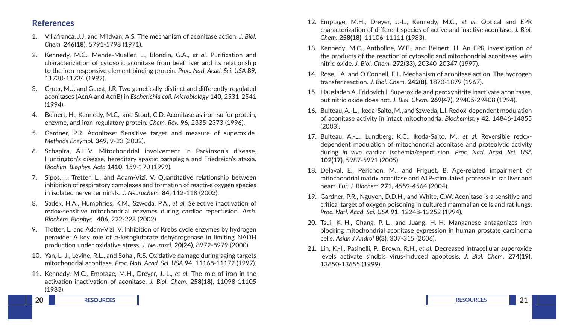#### **References**

- 1. Villafranca, J.J. and Mildvan, A.S. The mechanism of aconitase action. *J. Biol. Chem.* **246(18)**, 5791-5798 (1971).
- 2. Kennedy, M.C., Mende-Mueller, L., Blondin, G.A., *et al.* Purification and characterization of cytosolic aconitase from beef liver and its relationship to the iron-responsive element binding protein. *Proc. Natl. Acad. Sci. USA* **89**, 11730-11734 (1992).
- 3. Gruer, M.J. and Guest, J.R. Two genetically-distinct and differently-regulated aconitases (AcnA and AcnB) in *Escherichia coli*. *Microbiology* **140**, 2531-2541 (1994).
- 4. Beinert, H., Kennedy, M.C., and Stout, C.D. Aconitase as iron-sulfur protein, enzyme, and iron-regulatory protein. *Chem. Rev.* **96**, 2335-2373 (1996).
- 5. Gardner, P.R. Aconitase: Sensitive target and measure of superoxide. *Methods Enzymol.* **349**, 9-23 (2002).
- 6. Schapira, A.H.V. Mitochondrial involvement in Parkinson's disease, Huntington's disease, hereditary spastic paraplegia and Friedreich's ataxia. *Biochim. Biophys. Acta* **1410**, 159-170 (1999).
- 7. Sipos, I., Tretter, L., and Adam-Vizi, V. Quantitative relationship between inhibition of respiratory complexes and formation of reactive oxygen species in isolated nerve terminals. *J. Neurochem.* **84**, 112-118 (2003).
- 8. Sadek, H.A., Humphries, K.M., Szweda, P.A., *et al.* Selective inactivation of redox-sensitive mitochondrial enzymes during cardiac reperfusion. *Arch. Biochem. Biophys.* **406**, 222-228 (2002).
- 9. Tretter, L. and Adam-Vizi, V. Inhibition of Krebs cycle enzymes by hydrogen peroxide: A key role of α-ketoglutarate dehydrogenase in limiting NADH production under oxidative stress. *J. Neurosci.* **20(24)**, 8972-8979 (2000).
- 10. Yan, L.-J., Levine, R.L., and Sohal, R.S. Oxidative damage during aging targets mitochondrial aconitase. *Proc. Natl. Acad. Sci. USA* **94**, 11168-11172 (1997).
- 11. Kennedy, M.C., Emptage, M.H., Dreyer, J.-L., *et al.* The role of iron in the activation-inactivation of aconitase. *J. Biol. Chem.* **258(18)**, 11098-11105 (1983).
- 12. Emptage, M.H., Dreyer, J.-L., Kennedy, M.C., *et al.* Optical and EPR characterization of different species of active and inactive aconitase. *J. Biol. Chem.* **258(18)**, 11106-11111 (1983).
- 13. Kennedy, M.C., Antholine, W.E., and Beinert, H. An EPR investigation of the products of the reaction of cytosolic and mitochondrial aconitases with nitric oxide. *J. Biol. Chem.* **272(33)**, 20340-20347 (1997).
- 14. Rose, I.A. and O'Connell, E.L. Mechanism of aconitase action. The hydrogen transfer reaction. *J. Biol. Chem.* **242(8)**, 1870-1879 (1967).
- 15. Hausladen A, Fridovich I. Superoxide and peroxynitrite inactivate aconitases, but nitric oxide does not. *J. Biol. Chem.* **269(47)**, 29405-29408 (1994).
- 16. Bulteau, A.-L., Ikeda-Saito, M., and Szweda, L.I. Redox-dependent modulation of aconitase activity in intact mitochondria. *Biochemistry* **42**, 14846-14855 (2003).
- 17. Bulteau, A.-L., Lundberg, K.C., Ikeda-Saito, M., *et al.* Reversible redoxdependent modulation of mitochondrial aconitase and proteolytic activity during *in vivo* cardiac ischemia/reperfusion. *Proc. Natl. Acad. Sci. USA* **102(17)**, 5987-5991 (2005).
- 18. Delaval, E., Perichon, M., and Friguet, B. Age-related impairment of mitochondrial matrix aconitase and ATP-stimulated protease in rat liver and heart. *Eur. J. Biochem* **271**, 4559-4564 (2004).
- 19. Gardner, P.R., Nguyen, D.D.H., and White, C.W. Aconitase is a sensitive and critical target of oxygen poisoning in cultured mammalian cells and rat lungs. *Proc. Natl. Acad. Sci. USA* **91**, 12248-12252 (1994).
- 20. Tsui, K.-H., Chang, P.-L., and Juang, H.-H. Manganese antagonizes iron blocking mitochondrial aconitase expression in human prostate carcinoma cells. *Asian J Androl* **8(3)**, 307-315 (2006).
- 21. Lin, K.-I., Pasinelli, P., Brown, R.H., *et al.* Decreased intracellular superoxide levels activate sindbis virus-induced apoptosis. *J. Biol. Chem.* **274(19)**, 13650-13655 (1999).